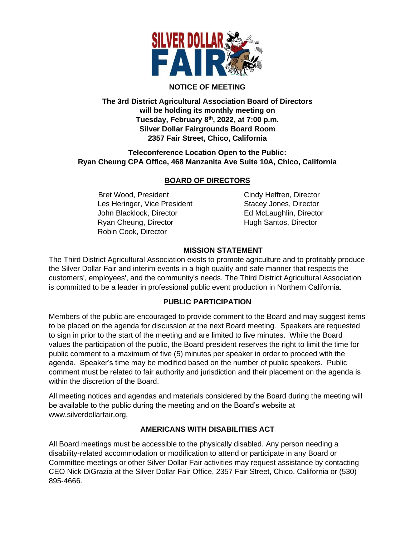

## **NOTICE OF MEETING**

**The 3rd District Agricultural Association Board of Directors will be holding its monthly meeting on Tuesday, February 8th , 2022, at 7:00 p.m. Silver Dollar Fairgrounds Board Room 2357 Fair Street, Chico, California**

## **Teleconference Location Open to the Public: Ryan Cheung CPA Office, 468 Manzanita Ave Suite 10A, Chico, California**

# **BOARD OF DIRECTORS**

Bret Wood, President Cindy Heffren, Director Les Heringer, Vice President Stacey Jones, Director John Blacklock, Director **Ed McLaughlin, Director** Ryan Cheung, Director **Hugh Santos, Director** Robin Cook, Director

## **MISSION STATEMENT**

The Third District Agricultural Association exists to promote agriculture and to profitably produce the Silver Dollar Fair and interim events in a high quality and safe manner that respects the customers', employees', and the community's needs. The Third District Agricultural Association is committed to be a leader in professional public event production in Northern California.

## **PUBLIC PARTICIPATION**

Members of the public are encouraged to provide comment to the Board and may suggest items to be placed on the agenda for discussion at the next Board meeting. Speakers are requested to sign in prior to the start of the meeting and are limited to five minutes. While the Board values the participation of the public, the Board president reserves the right to limit the time for public comment to a maximum of five (5) minutes per speaker in order to proceed with the agenda. Speaker's time may be modified based on the number of public speakers. Public comment must be related to fair authority and jurisdiction and their placement on the agenda is within the discretion of the Board.

All meeting notices and agendas and materials considered by the Board during the meeting will be available to the public during the meeting and on the Board's website at www.silverdollarfair.org.

## **AMERICANS WITH DISABILITIES ACT**

All Board meetings must be accessible to the physically disabled. Any person needing a disability-related accommodation or modification to attend or participate in any Board or Committee meetings or other Silver Dollar Fair activities may request assistance by contacting CEO Nick DiGrazia at the Silver Dollar Fair Office, 2357 Fair Street, Chico, California or (530) 895-4666.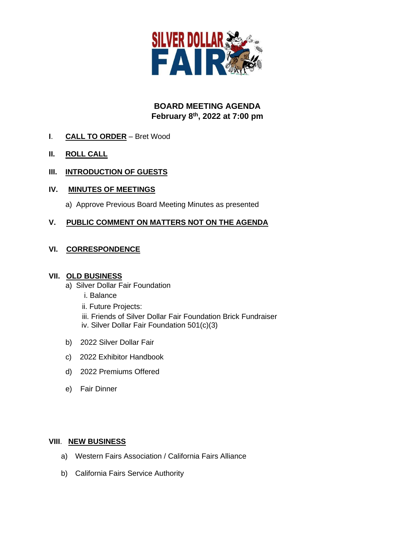

# **BOARD MEETING AGENDA February 8th , 2022 at 7:00 pm**

- **I**. **CALL TO ORDER** Bret Wood
- **II. ROLL CALL**
- **III. INTRODUCTION OF GUESTS**
- **IV. MINUTES OF MEETINGS**

a) Approve Previous Board Meeting Minutes as presented

## **V. PUBLIC COMMENT ON MATTERS NOT ON THE AGENDA**

## **VI. CORRESPONDENCE**

#### **VII. OLD BUSINESS**

- a) Silver Dollar Fair Foundation
	- i. Balance
	- ii. Future Projects:

 iii. Friends of Silver Dollar Fair Foundation Brick Fundraiser iv. Silver Dollar Fair Foundation 501(c)(3)

- b) 2022 Silver Dollar Fair
- c) 2022 Exhibitor Handbook
- d) 2022 Premiums Offered
- e) Fair Dinner

#### **VIII**. **NEW BUSINESS**

- a) Western Fairs Association / California Fairs Alliance
- b) California Fairs Service Authority